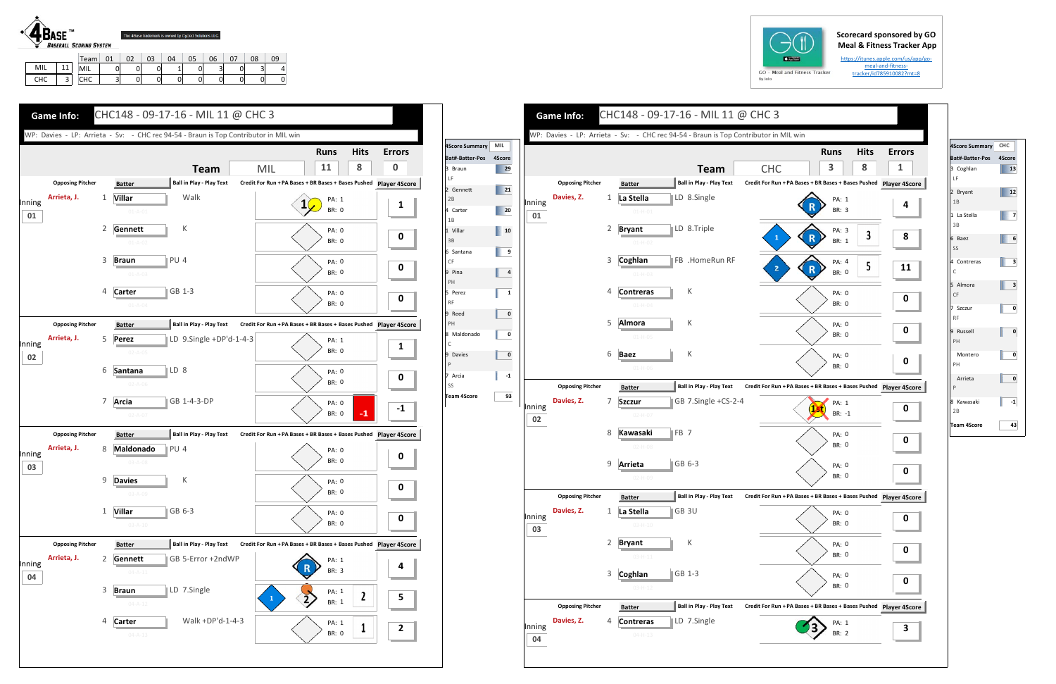## **Scorecard sponsored by GO Meal & Fitness Tracker App**

https://itunes.apple.com/us/app/go‐ meal‐and‐fitness‐ tracker/id785910082?mt=8



|            |                | Team              |   | $\sim$<br>UZ | 03 | 04 | 05 | 06                    | $\sim$ | 08 |              |
|------------|----------------|-------------------|---|--------------|----|----|----|-----------------------|--------|----|--------------|
| MIL        | $\overline{A}$ | MIL               |   | 0            | 0  |    |    | $\tilde{\phantom{a}}$ |        | ັ  | $\mathbf{A}$ |
| <b>CHC</b> | -              | $\sim$<br>ີ<br>'' | پ | 01           | 01 | U  |    |                       |        | 0  | 0            |





| 4Score Summary CHC<br>Bat#-Batter-Pos<br>4Score<br>3 Coghlan<br>13<br>LF<br>2 Bryant<br>12<br>1B<br>1 La Stella<br>7<br>3B<br>6 Baez<br>6<br>SS<br>4 Contreras<br>3<br>C<br>5 Almora<br>3<br>CF<br>7 Szczur<br>0<br><b>RF</b><br>9 Russell<br>0<br>PH<br>Montero<br>0<br>PH<br>Arrieta<br>0<br>P<br>8 Kawasaki<br>$-1$<br>2B<br><b>Team 4Score</b><br>43 |  |
|----------------------------------------------------------------------------------------------------------------------------------------------------------------------------------------------------------------------------------------------------------------------------------------------------------------------------------------------------------|--|
|                                                                                                                                                                                                                                                                                                                                                          |  |
|                                                                                                                                                                                                                                                                                                                                                          |  |
|                                                                                                                                                                                                                                                                                                                                                          |  |
|                                                                                                                                                                                                                                                                                                                                                          |  |
|                                                                                                                                                                                                                                                                                                                                                          |  |
|                                                                                                                                                                                                                                                                                                                                                          |  |
|                                                                                                                                                                                                                                                                                                                                                          |  |
|                                                                                                                                                                                                                                                                                                                                                          |  |
|                                                                                                                                                                                                                                                                                                                                                          |  |
|                                                                                                                                                                                                                                                                                                                                                          |  |
|                                                                                                                                                                                                                                                                                                                                                          |  |
|                                                                                                                                                                                                                                                                                                                                                          |  |
|                                                                                                                                                                                                                                                                                                                                                          |  |
|                                                                                                                                                                                                                                                                                                                                                          |  |
|                                                                                                                                                                                                                                                                                                                                                          |  |
|                                                                                                                                                                                                                                                                                                                                                          |  |
|                                                                                                                                                                                                                                                                                                                                                          |  |
|                                                                                                                                                                                                                                                                                                                                                          |  |
|                                                                                                                                                                                                                                                                                                                                                          |  |
|                                                                                                                                                                                                                                                                                                                                                          |  |
|                                                                                                                                                                                                                                                                                                                                                          |  |
|                                                                                                                                                                                                                                                                                                                                                          |  |
|                                                                                                                                                                                                                                                                                                                                                          |  |
|                                                                                                                                                                                                                                                                                                                                                          |  |
|                                                                                                                                                                                                                                                                                                                                                          |  |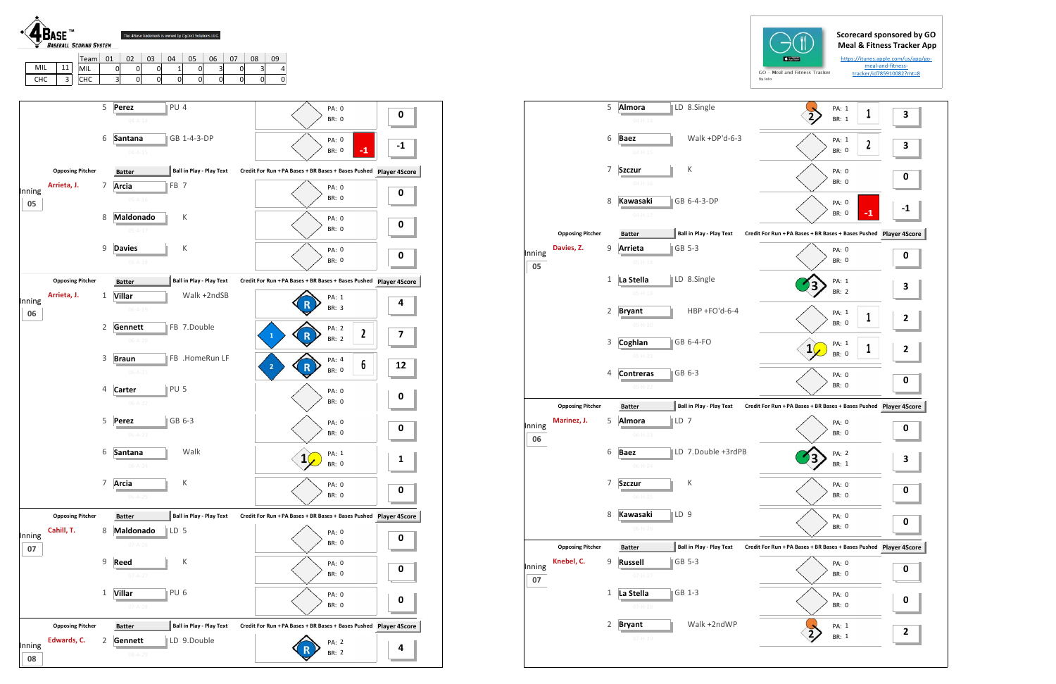## **Scorecard sponsored by GO Meal & Fitness Tracker App**

https://itunes.apple.com/us/app/go‐ meal‐and‐fitness‐ tracker/id785910082?mt=8



|        |                         | 5            | Almora<br>$04 - H - 14$      |                 | LD 8.Single                     | PA: 1<br>BR: 1                                                | 1            | 3 |
|--------|-------------------------|--------------|------------------------------|-----------------|---------------------------------|---------------------------------------------------------------|--------------|---|
|        |                         |              |                              |                 |                                 |                                                               |              |   |
|        |                         | 6            | <b>Baez</b><br>$04-H-15$     |                 | Walk + $DP'd-6-3$               | PA: 1<br><b>BR: 0</b>                                         | $\mathbf{2}$ | 3 |
|        |                         | 7            | <b>Szczur</b>                |                 | К                               | PA: 0                                                         |              | 0 |
|        |                         |              | $04 - H - 16$                |                 |                                 | <b>BR: 0</b>                                                  |              |   |
|        |                         | 8            | <b>Kawasaki</b><br>$04-H-17$ |                 | GB 6-4-3-DP                     | PA: 0<br><b>BR: 0</b>                                         | $-1$         |   |
|        |                         |              |                              |                 |                                 |                                                               |              |   |
|        | <b>Opposing Pitcher</b> |              | <b>Batter</b>                |                 | <b>Ball in Play - Play Text</b> | Credit For Run + PA Bases + BR Bases + Bases Pushed Player 4S |              |   |
| Inning | Davies, Z.              | 9            | Arrieta                      |                 | GB 5-3                          | PA: 0                                                         |              |   |
| 05     |                         |              | $05 - H - 18$                |                 |                                 | <b>BR: 0</b>                                                  |              | 0 |
|        |                         | $\mathbf{1}$ | La Stella                    |                 | LD 8.Single                     | PA: 1                                                         |              | З |
|        |                         |              | $05 - H - 19$                |                 |                                 | <b>BR: 2</b>                                                  |              |   |
|        |                         | 2            | <b>Bryant</b>                |                 | HBP +FO'd-6-4                   | PA: 1                                                         |              |   |
|        |                         |              | $05 - H - 20$                |                 |                                 | <b>BR: 0</b>                                                  | 1            | 2 |
|        |                         | 3            | Coghlan                      |                 | GB 6-4-FO                       | PA: 1<br>1                                                    | 1            | 2 |
|        |                         |              | $05 - H - 21$                |                 |                                 | <b>BR: 0</b>                                                  |              |   |
|        |                         | 4            | <b>Contreras</b>             |                 | GB 6-3                          | PA: 0                                                         |              | 0 |
|        |                         |              | $05-H-22$                    |                 |                                 | BR: 0                                                         |              |   |
|        | <b>Opposing Pitcher</b> |              | <b>Batter</b>                |                 | Ball in Play - Play Text        | Credit For Run + PA Bases + BR Bases + Bases Pushed Player 4S |              |   |
| Inning | Marinez, J.             | 5            | Almora                       | LD 7            |                                 | PA: 0                                                         |              | 0 |
| 06     |                         |              | $06-H-23$                    |                 |                                 | <b>BR: 0</b>                                                  |              |   |
|        |                         | 6            | <b>Baez</b>                  |                 | LD 7.Double +3rdPB              | PA: 2                                                         |              | З |
|        |                         |              | $06-H-24$                    |                 |                                 | <b>BR: 1</b>                                                  |              |   |
|        |                         | 7            | <b>Szczur</b>                |                 | Κ                               | PA: 0                                                         |              |   |
|        |                         |              | $06-H-25$                    |                 |                                 | BR: 0                                                         |              | 0 |
|        |                         | 8            | Kawasaki                     | LD <sub>9</sub> |                                 | PA: 0                                                         |              |   |
|        |                         |              | $06-H-26$                    |                 |                                 | BR: 0                                                         |              | 0 |
|        | <b>Opposing Pitcher</b> |              | <b>Batter</b>                |                 | <b>Ball in Play - Play Text</b> | Credit For Run + PA Bases + BR Bases + Bases Pushed Player 4S |              |   |
| Inning | Knebel, C.              | 9            | <b>Russell</b>               |                 | GB 5-3                          | PA: 0                                                         |              |   |
| 07     |                         |              | $07 - H - 27$                |                 |                                 | BR: 0                                                         |              | 0 |
|        |                         | 1            | La Stella                    |                 | GB 1-3                          | PA: 0                                                         |              |   |
|        |                         |              | $07-H-28$                    |                 |                                 | BR: 0                                                         |              | 0 |
|        |                         | 2            | <b>Bryant</b>                |                 | Walk +2ndWP                     | PA: 1                                                         |              |   |
|        |                         |              | $07 - H - 29$                |                 |                                 | BR: 1                                                         |              | 2 |
|        |                         |              |                              |                 |                                 |                                                               |              |   |